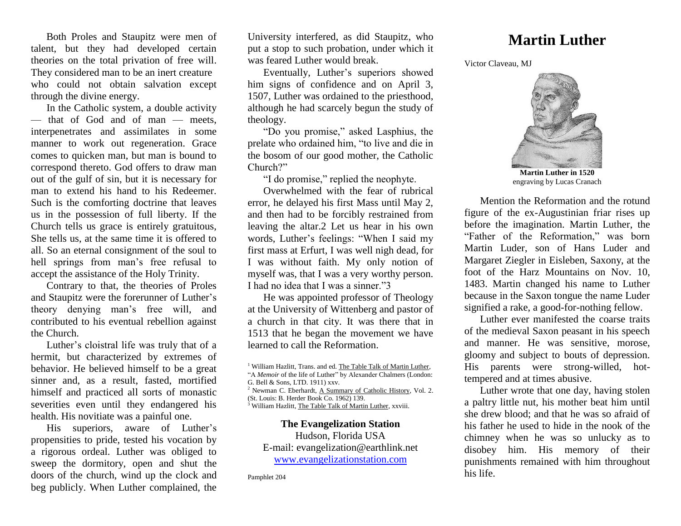Both Proles and Staupitz were men of talent, but they had developed certain theories on the total privation of free will. They considered man to be an inert creature who could not obtain salvation except through the divine energy.

In the Catholic system, a double activity — that of God and of man — meets, interpenetrates and assimilates in some manner to work out regeneration. Grace comes to quicken man, but man is bound to correspond thereto. God offers to draw man out of the gulf of sin, but it is necessary for man to extend his hand to his Redeemer. Such is the comforting doctrine that leaves us in the possession of full liberty. If the Church tells us grace is entirely gratuitous, She tells us, at the same time it is offered to all. So an eternal consignment of the soul to hell springs from man's free refusal to accept the assistance of the Holy Trinity.

Contrary to that, the theories of Proles and Staupitz were the forerunner of Luther's theory denying man's free will, and contributed to his eventual rebellion against the Church.

Luther's cloistral life was truly that of a hermit, but characterized by extremes of behavior. He believed himself to be a great sinner and, as a result, fasted, mortified himself and practiced all sorts of monastic severities even until they endangered his health. His novitiate was a painful one.

His superiors, aware of Luther's propensities to pride, tested his vocation by a rigorous ordeal. Luther was obliged to sweep the dormitory, open and shut the doors of the church, wind up the clock and beg publicly. When Luther complained, the University interfered, as did Staupitz, who put a stop to such probation, under which it was feared Luther would break.

Eventually, Luther's superiors showed him signs of confidence and on April 3, 1507, Luther was ordained to the priesthood, although he had scarcely begun the study of theology.

"Do you promise," asked Lasphius, the prelate who ordained him, "to live and die in the bosom of our good mother, the Catholic Church?"

"I do promise," replied the neophyte.

Overwhelmed with the fear of rubrical error, he delayed his first Mass until May 2, and then had to be forcibly restrained from leaving the altar.2 Let us hear in his own words, Luther's feelings: "When I said my first mass at Erfurt, I was well nigh dead, for I was without faith. My only notion of myself was, that I was a very worthy person. I had no idea that I was a sinner."3

He was appointed professor of Theology at the University of Wittenberg and pastor of a church in that city. It was there that in 1513 that he began the movement we have learned to call the Reformation.

<sup>2</sup> Newman C. Eberhardt, A Summary of Catholic History*,* Vol. 2. (St. Louis: B. Herder Book Co. 1962) 139.

<sup>3</sup> William Hazlitt, The Table Talk of Martin Luther*,* xxviii.

**The Evangelization Station** Hudson, Florida USA E-mail: evangelization@earthlink.net [www.evangelizationstation.com](http://www.pjpiisoe.org/)

Pamphlet 204

## **Martin Luther**

Victor Claveau, MJ



**Martin Luther in 1520** engraving by Lucas Cranach

Mention the Reformation and the rotund figure of the ex-Augustinian friar rises up before the imagination. Martin Luther, the "Father of the Reformation," was born Martin Luder, son of Hans Luder and Margaret Ziegler in Eisleben, Saxony, at the foot of the Harz Mountains on Nov. 10, 1483. Martin changed his name to Luther because in the Saxon tongue the name Luder signified a rake, a good-for-nothing fellow.

Luther ever manifested the coarse traits of the medieval Saxon peasant in his speech and manner. He was sensitive, morose, gloomy and subject to bouts of depression. His parents were strong-willed, hottempered and at times abusive.

Luther wrote that one day, having stolen a paltry little nut, his mother beat him until she drew blood; and that he was so afraid of his father he used to hide in the nook of the chimney when he was so unlucky as to disobey him. His memory of their punishments remained with him throughout his life.

<sup>1</sup> William Hazlitt, Trans. and ed. The Table Talk of Martin Luther*,*  "A *Memoir* of the life of Luther" by Alexander Chalmers (London: G. Bell & Sons, LTD. 1911) xxv.